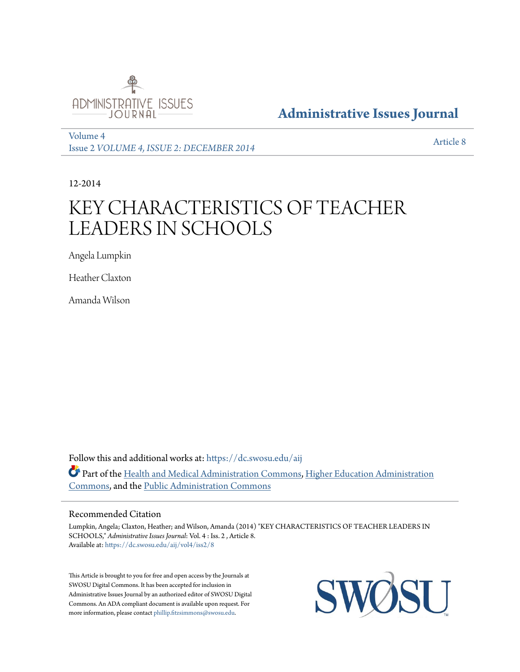

#### **[Administrative Issues Journal](https://dc.swosu.edu/aij?utm_source=dc.swosu.edu%2Faij%2Fvol4%2Fiss2%2F8&utm_medium=PDF&utm_campaign=PDFCoverPages)**

[Volume 4](https://dc.swosu.edu/aij/vol4?utm_source=dc.swosu.edu%2Faij%2Fvol4%2Fiss2%2F8&utm_medium=PDF&utm_campaign=PDFCoverPages) Issue 2 *[VOLUME 4, ISSUE 2: DECEMBER 2014](https://dc.swosu.edu/aij/vol4/iss2?utm_source=dc.swosu.edu%2Faij%2Fvol4%2Fiss2%2F8&utm_medium=PDF&utm_campaign=PDFCoverPages)* [Article 8](https://dc.swosu.edu/aij/vol4/iss2/8?utm_source=dc.swosu.edu%2Faij%2Fvol4%2Fiss2%2F8&utm_medium=PDF&utm_campaign=PDFCoverPages)

12-2014

## KEY CHARACTERISTICS OF TEACHER LEADERS IN SCHOOLS

Angela Lumpkin

Heather Claxton

Amanda Wilson

Follow this and additional works at: [https://dc.swosu.edu/aij](https://dc.swosu.edu/aij?utm_source=dc.swosu.edu%2Faij%2Fvol4%2Fiss2%2F8&utm_medium=PDF&utm_campaign=PDFCoverPages) Part of the [Health and Medical Administration Commons](http://network.bepress.com/hgg/discipline/663?utm_source=dc.swosu.edu%2Faij%2Fvol4%2Fiss2%2F8&utm_medium=PDF&utm_campaign=PDFCoverPages), [Higher Education Administration](http://network.bepress.com/hgg/discipline/791?utm_source=dc.swosu.edu%2Faij%2Fvol4%2Fiss2%2F8&utm_medium=PDF&utm_campaign=PDFCoverPages) [Commons,](http://network.bepress.com/hgg/discipline/791?utm_source=dc.swosu.edu%2Faij%2Fvol4%2Fiss2%2F8&utm_medium=PDF&utm_campaign=PDFCoverPages) and the [Public Administration Commons](http://network.bepress.com/hgg/discipline/398?utm_source=dc.swosu.edu%2Faij%2Fvol4%2Fiss2%2F8&utm_medium=PDF&utm_campaign=PDFCoverPages)

#### Recommended Citation

Lumpkin, Angela; Claxton, Heather; and Wilson, Amanda (2014) "KEY CHARACTERISTICS OF TEACHER LEADERS IN SCHOOLS," *Administrative Issues Journal*: Vol. 4 : Iss. 2 , Article 8. Available at: [https://dc.swosu.edu/aij/vol4/iss2/8](https://dc.swosu.edu/aij/vol4/iss2/8?utm_source=dc.swosu.edu%2Faij%2Fvol4%2Fiss2%2F8&utm_medium=PDF&utm_campaign=PDFCoverPages)

This Article is brought to you for free and open access by the Journals at SWOSU Digital Commons. It has been accepted for inclusion in Administrative Issues Journal by an authorized editor of SWOSU Digital Commons. An ADA compliant document is available upon request. For more information, please contact [phillip.fitzsimmons@swosu.edu](mailto:phillip.fitzsimmons@swosu.edu).

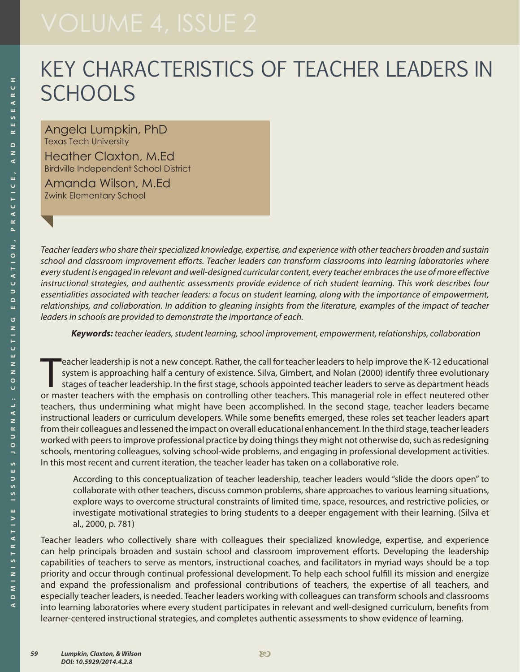# KEY CHARACTERISTICS OF TEACHER LEADERS IN **SCHOOLS**

Angela Lumpkin, PhD Texas Tech University

Heather Claxton, M.Ed Birdville Independent School District

Amanda Wilson, M.Ed Zwink Elementary School

*Teacher leaders who share their specialized knowledge, expertise, and experience with other teachers broaden and sustain school and classroom improvement efforts. Teacher leaders can transform classrooms into learning laboratories where every student is engaged in relevant and well-designed curricular content, every teacher embraces the use of more effective instructional strategies, and authentic assessments provide evidence of rich student learning. This work describes four essentialities associated with teacher leaders: a focus on student learning, along with the importance of empowerment, relationships, and collaboration. In addition to gleaning insights from the literature, examples of the impact of teacher leaders in schools are provided to demonstrate the importance of each.* 

*Keywords: teacher leaders, student learning, school improvement, empowerment, relationships, collaboration*

eacher leadership is not a new concept. Rather, the call for teacher leaders to help improve the K-12 educational<br>system is approaching half a century of existence. Silva, Gimbert, and Nolan (2000) identify three evolution eacher leadership is not a new concept. Rather, the call for teacher leaders to help improve the K-12 educational system is approaching half a century of existence. Silva, Gimbert, and Nolan (2000) identify three evolutionary stages of teacher leadership. In the first stage, schools appointed teacher leaders to serve as department heads teachers, thus undermining what might have been accomplished. In the second stage, teacher leaders became instructional leaders or curriculum developers. While some benefits emerged, these roles set teacher leaders apart from their colleagues and lessened the impact on overall educational enhancement. In the third stage, teacher leaders worked with peers to improve professional practice by doing things they might not otherwise do, such as redesigning schools, mentoring colleagues, solving school-wide problems, and engaging in professional development activities. In this most recent and current iteration, the teacher leader has taken on a collaborative role.

According to this conceptualization of teacher leadership, teacher leaders would "slide the doors open" to collaborate with other teachers, discuss common problems, share approaches to various learning situations, explore ways to overcome structural constraints of limited time, space, resources, and restrictive policies, or investigate motivational strategies to bring students to a deeper engagement with their learning. (Silva et al., 2000, p. 781)

Teacher leaders who collectively share with colleagues their specialized knowledge, expertise, and experience can help principals broaden and sustain school and classroom improvement efforts. Developing the leadership capabilities of teachers to serve as mentors, instructional coaches, and facilitators in myriad ways should be a top priority and occur through continual professional development. To help each school fulfill its mission and energize and expand the professionalism and professional contributions of teachers, the expertise of all teachers, and especially teacher leaders, is needed. Teacher leaders working with colleagues can transform schools and classrooms into learning laboratories where every student participates in relevant and well-designed curriculum, benefits from learner-centered instructional strategies, and completes authentic assessments to show evidence of learning.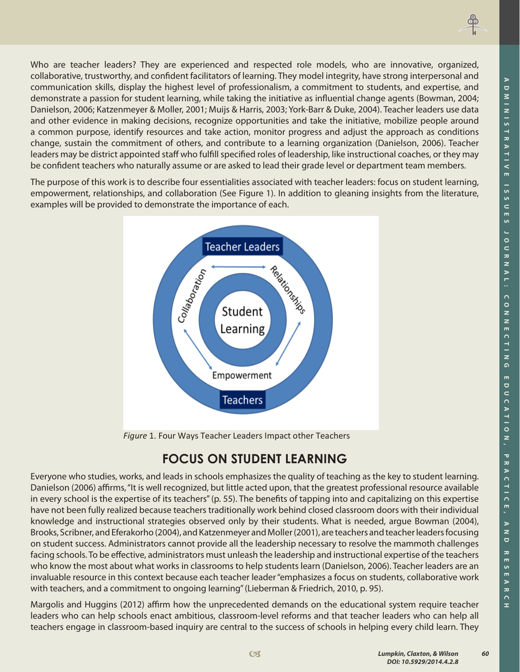

The purpose of this work is to describe four essentialities associated with teacher leaders: focus on student learning, empowerment, relationships, and collaboration (See Figure 1). In addition to gleaning insights from the literature, examples will be provided to demonstrate the importance of each.



*Figure* 1. Four Ways Teacher Leaders Impact other Teachers

### **FOCUS ON STUDENT LEARNING**

Everyone who studies, works, and leads in schools emphasizes the quality of teaching as the key to student learning. Danielson (2006) affirms, "It is well recognized, but little acted upon, that the greatest professional resource available in every school is the expertise of its teachers" (p. 55). The benefits of tapping into and capitalizing on this expertise have not been fully realized because teachers traditionally work behind closed classroom doors with their individual knowledge and instructional strategies observed only by their students. What is needed, argue Bowman (2004), Brooks, Scribner, and Eferakorho (2004), and Katzenmeyer and Moller (2001), are teachers and teacher leaders focusing on student success. Administrators cannot provide all the leadership necessary to resolve the mammoth challenges facing schools. To be effective, administrators must unleash the leadership and instructional expertise of the teachers who know the most about what works in classrooms to help students learn (Danielson, 2006). Teacher leaders are an invaluable resource in this context because each teacher leader "emphasizes a focus on students, collaborative work with teachers, and a commitment to ongoing learning" (Lieberman & Friedrich, 2010, p. 95).

Margolis and Huggins (2012) affirm how the unprecedented demands on the educational system require teacher leaders who can help schools enact ambitious, classroom-level reforms and that teacher leaders who can help all teachers engage in classroom-based inquiry are central to the success of schools in helping every child learn. They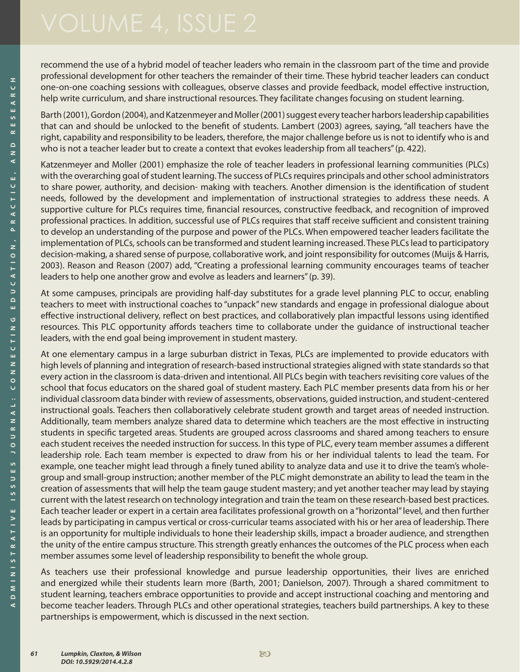recommend the use of a hybrid model of teacher leaders who remain in the classroom part of the time and provide professional development for other teachers the remainder of their time. These hybrid teacher leaders can conduct one-on-one coaching sessions with colleagues, observe classes and provide feedback, model effective instruction, help write curriculum, and share instructional resources. They facilitate changes focusing on student learning.

Barth (2001), Gordon (2004), and Katzenmeyer and Moller (2001) suggest every teacher harbors leadership capabilities that can and should be unlocked to the benefit of students. Lambert (2003) agrees, saying, "all teachers have the right, capability and responsibility to be leaders, therefore, the major challenge before us is not to identify who is and who is not a teacher leader but to create a context that evokes leadership from all teachers" (p. 422).

Katzenmeyer and Moller (2001) emphasize the role of teacher leaders in professional learning communities (PLCs) with the overarching goal of student learning. The success of PLCs requires principals and other school administrators to share power, authority, and decision- making with teachers. Another dimension is the identification of student needs, followed by the development and implementation of instructional strategies to address these needs. A supportive culture for PLCs requires time, financial resources, constructive feedback, and recognition of improved professional practices. In addition, successful use of PLCs requires that staff receive sufficient and consistent training to develop an understanding of the purpose and power of the PLCs. When empowered teacher leaders facilitate the implementation of PLCs, schools can be transformed and student learning increased. These PLCs lead to participatory decision-making, a shared sense of purpose, collaborative work, and joint responsibility for outcomes (Muijs & Harris, 2003). Reason and Reason (2007) add, "Creating a professional learning community encourages teams of teacher leaders to help one another grow and evolve as leaders and learners" (p. 39).

At some campuses, principals are providing half-day substitutes for a grade level planning PLC to occur, enabling teachers to meet with instructional coaches to "unpack" new standards and engage in professional dialogue about effective instructional delivery, reflect on best practices, and collaboratively plan impactful lessons using identified resources. This PLC opportunity affords teachers time to collaborate under the guidance of instructional teacher leaders, with the end goal being improvement in student mastery.

At one elementary campus in a large suburban district in Texas, PLCs are implemented to provide educators with high levels of planning and integration of research-based instructional strategies aligned with state standards so that every action in the classroom is data-driven and intentional. All PLCs begin with teachers revisiting core values of the school that focus educators on the shared goal of student mastery. Each PLC member presents data from his or her individual classroom data binder with review of assessments, observations, guided instruction, and student-centered instructional goals. Teachers then collaboratively celebrate student growth and target areas of needed instruction. Additionally, team members analyze shared data to determine which teachers are the most effective in instructing students in specific targeted areas. Students are grouped across classrooms and shared among teachers to ensure each student receives the needed instruction for success. In this type of PLC, every team member assumes a different leadership role. Each team member is expected to draw from his or her individual talents to lead the team. For example, one teacher might lead through a finely tuned ability to analyze data and use it to drive the team's wholegroup and small-group instruction; another member of the PLC might demonstrate an ability to lead the team in the creation of assessments that will help the team gauge student mastery; and yet another teacher may lead by staying current with the latest research on technology integration and train the team on these research-based best practices. Each teacher leader or expert in a certain area facilitates professional growth on a "horizontal" level, and then further leads by participating in campus vertical or cross-curricular teams associated with his or her area of leadership. There is an opportunity for multiple individuals to hone their leadership skills, impact a broader audience, and strengthen the unity of the entire campus structure. This strength greatly enhances the outcomes of the PLC process when each member assumes some level of leadership responsibility to benefit the whole group.

As teachers use their professional knowledge and pursue leadership opportunities, their lives are enriched and energized while their students learn more (Barth, 2001; Danielson, 2007). Through a shared commitment to student learning, teachers embrace opportunities to provide and accept instructional coaching and mentoring and become teacher leaders. Through PLCs and other operational strategies, teachers build partnerships. A key to these partnerships is empowerment, which is discussed in the next section.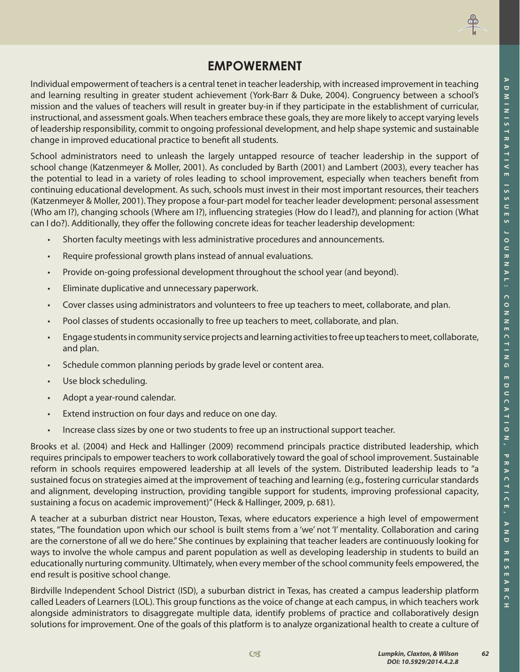

#### **EMPOWERMENT**

Individual empowerment of teachers is a central tenet in teacher leadership, with increased improvement in teaching and learning resulting in greater student achievement (York-Barr & Duke, 2004). Congruency between a school's mission and the values of teachers will result in greater buy-in if they participate in the establishment of curricular, instructional, and assessment goals. When teachers embrace these goals, they are more likely to accept varying levels of leadership responsibility, commit to ongoing professional development, and help shape systemic and sustainable change in improved educational practice to benefit all students.

School administrators need to unleash the largely untapped resource of teacher leadership in the support of school change (Katzenmeyer & Moller, 2001). As concluded by Barth (2001) and Lambert (2003), every teacher has the potential to lead in a variety of roles leading to school improvement, especially when teachers benefit from continuing educational development. As such, schools must invest in their most important resources, their teachers (Katzenmeyer & Moller, 2001). They propose a four-part model for teacher leader development: personal assessment (Who am I?), changing schools (Where am I?), influencing strategies (How do I lead?), and planning for action (What can I do?). Additionally, they offer the following concrete ideas for teacher leadership development:

- Shorten faculty meetings with less administrative procedures and announcements.
- Require professional growth plans instead of annual evaluations.
- Provide on-going professional development throughout the school year (and beyond).
- Eliminate duplicative and unnecessary paperwork.
- Cover classes using administrators and volunteers to free up teachers to meet, collaborate, and plan.
- Pool classes of students occasionally to free up teachers to meet, collaborate, and plan.
- Engage students in community service projects and learning activities to free up teachers to meet, collaborate, and plan.
- Schedule common planning periods by grade level or content area.
- Use block scheduling.
- Adopt a year-round calendar.
- Extend instruction on four days and reduce on one day.
- Increase class sizes by one or two students to free up an instructional support teacher.

Brooks et al. (2004) and Heck and Hallinger (2009) recommend principals practice distributed leadership, which requires principals to empower teachers to work collaboratively toward the goal of school improvement. Sustainable reform in schools requires empowered leadership at all levels of the system. Distributed leadership leads to "a sustained focus on strategies aimed at the improvement of teaching and learning (e.g., fostering curricular standards and alignment, developing instruction, providing tangible support for students, improving professional capacity, sustaining a focus on academic improvement)" (Heck & Hallinger, 2009, p. 681).

A teacher at a suburban district near Houston, Texas, where educators experience a high level of empowerment states, "The foundation upon which our school is built stems from a 'we' not 'I' mentality. Collaboration and caring are the cornerstone of all we do here." She continues by explaining that teacher leaders are continuously looking for ways to involve the whole campus and parent population as well as developing leadership in students to build an educationally nurturing community. Ultimately, when every member of the school community feels empowered, the end result is positive school change.

Birdville Independent School District (ISD), a suburban district in Texas, has created a campus leadership platform called Leaders of Learners (LOL). This group functions as the voice of change at each campus, in which teachers work alongside administrators to disaggregate multiple data, identify problems of practice and collaboratively design solutions for improvement. One of the goals of this platform is to analyze organizational health to create a culture of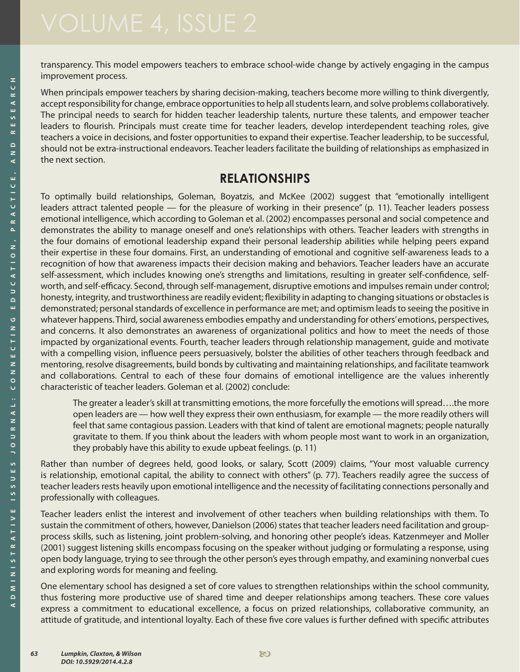transparency. This model empowers teachers to embrace school-wide change by actively engaging in the campus improvement process.

When principals empower teachers by sharing decision-making, teachers become more willing to think divergently, accept responsibility for change, embrace opportunities to help all students learn, and solve problems collaboratively. The principal needs to search for hidden teacher leadership talents, nurture these talents, and empower teacher leaders to flourish. Principals must create time for teacher leaders, develop interdependent teaching roles, give teachers a voice in decisions, and foster opportunities to expand their expertise. Teacher leadership, to be successful, should not be extra-instructional endeavors. Teacher leaders facilitate the building of relationships as emphasized in the next section.

#### **RELATIONSHIPS**

To optimally build relationships, Goleman, Boyatzis, and McKee (2002) suggest that "emotionally intelligent leaders attract talented people — for the pleasure of working in their presence" (p. 11). Teacher leaders possess emotional intelligence, which according to Goleman et al. (2002) encompasses personal and social competence and demonstrates the ability to manage oneself and one's relationships with others. Teacher leaders with strengths in the four domains of emotional leadership expand their personal leadership abilities while helping peers expand their expertise in these four domains. First, an understanding of emotional and cognitive self-awareness leads to a recognition of how that awareness impacts their decision making and behaviors. Teacher leaders have an accurate self-assessment, which includes knowing one's strengths and limitations, resulting in greater self-confidence, selfworth, and self-efficacy. Second, through self-management, disruptive emotions and impulses remain under control; honesty, integrity, and trustworthiness are readily evident; flexibility in adapting to changing situations or obstacles is demonstrated; personal standards of excellence in performance are met; and optimism leads to seeing the positive in whatever happens. Third, social awareness embodies empathy and understanding for others' emotions, perspectives, and concerns. It also demonstrates an awareness of organizational politics and how to meet the needs of those impacted by organizational events. Fourth, teacher leaders through relationship management, guide and motivate with a compelling vision, influence peers persuasively, bolster the abilities of other teachers through feedback and mentoring, resolve disagreements, build bonds by cultivating and maintaining relationships, and facilitate teamwork and collaborations. Central to each of these four domains of emotional intelligence are the values inherently characteristic of teacher leaders. Goleman et al. (2002) conclude:

The greater a leader's skill at transmitting emotions, the more forcefully the emotions will spread….the more open leaders are — how well they express their own enthusiasm, for example — the more readily others will feel that same contagious passion. Leaders with that kind of talent are emotional magnets; people naturally gravitate to them. If you think about the leaders with whom people most want to work in an organization, they probably have this ability to exude upbeat feelings. (p. 11)

Rather than number of degrees held, good looks, or salary, Scott (2009) claims, "Your most valuable currency is relationship, emotional capital, the ability to connect with others" (p. 77). Teachers readily agree the success of teacher leaders rests heavily upon emotional intelligence and the necessity of facilitating connections personally and professionally with colleagues.

Teacher leaders enlist the interest and involvement of other teachers when building relationships with them. To sustain the commitment of others, however, Danielson (2006) states that teacher leaders need facilitation and groupprocess skills, such as listening, joint problem-solving, and honoring other people's ideas. Katzenmeyer and Moller (2001) suggest listening skills encompass focusing on the speaker without judging or formulating a response, using open body language, trying to see through the other person's eyes through empathy, and examining nonverbal cues and exploring words for meaning and feeling.

One elementary school has designed a set of core values to strengthen relationships within the school community, thus fostering more productive use of shared time and deeper relationships among teachers. These core values express a commitment to educational excellence, a focus on prized relationships, collaborative community, an attitude of gratitude, and intentional loyalty. Each of these five core values is further defined with specific attributes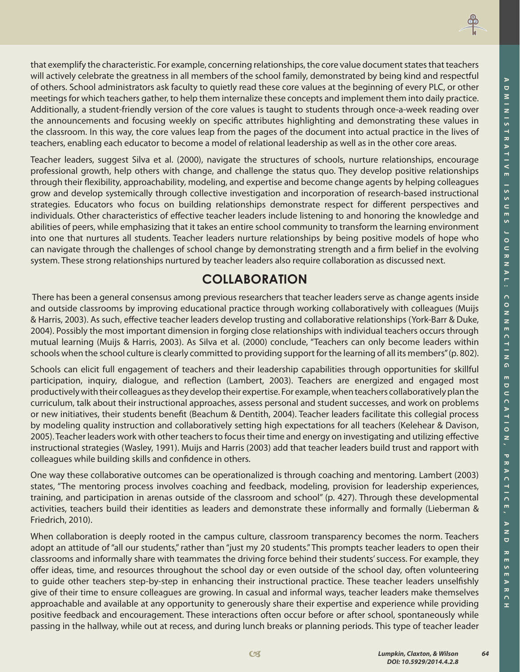

that exemplify the characteristic. For example, concerning relationships, the core value document states that teachers will actively celebrate the greatness in all members of the school family, demonstrated by being kind and respectful of others. School administrators ask faculty to quietly read these core values at the beginning of every PLC, or other meetings for which teachers gather, to help them internalize these concepts and implement them into daily practice. Additionally, a student-friendly version of the core values is taught to students through once-a-week reading over the announcements and focusing weekly on specific attributes highlighting and demonstrating these values in the classroom. In this way, the core values leap from the pages of the document into actual practice in the lives of teachers, enabling each educator to become a model of relational leadership as well as in the other core areas.

Teacher leaders, suggest Silva et al. (2000), navigate the structures of schools, nurture relationships, encourage professional growth, help others with change, and challenge the status quo. They develop positive relationships through their flexibility, approachability, modeling, and expertise and become change agents by helping colleagues grow and develop systemically through collective investigation and incorporation of research-based instructional strategies. Educators who focus on building relationships demonstrate respect for different perspectives and individuals. Other characteristics of effective teacher leaders include listening to and honoring the knowledge and abilities of peers, while emphasizing that it takes an entire school community to transform the learning environment into one that nurtures all students. Teacher leaders nurture relationships by being positive models of hope who can navigate through the challenges of school change by demonstrating strength and a firm belief in the evolving system. These strong relationships nurtured by teacher leaders also require collaboration as discussed next.

## **COLLABORATION**

 There has been a general consensus among previous researchers that teacher leaders serve as change agents inside and outside classrooms by improving educational practice through working collaboratively with colleagues (Muijs & Harris, 2003). As such, effective teacher leaders develop trusting and collaborative relationships (York-Barr & Duke, 2004). Possibly the most important dimension in forging close relationships with individual teachers occurs through mutual learning (Muijs & Harris, 2003). As Silva et al. (2000) conclude, "Teachers can only become leaders within schools when the school culture is clearly committed to providing support for the learning of all its members" (p. 802).

Schools can elicit full engagement of teachers and their leadership capabilities through opportunities for skillful participation, inquiry, dialogue, and reflection (Lambert, 2003). Teachers are energized and engaged most productively with their colleagues as they develop their expertise. For example, when teachers collaboratively plan the curriculum, talk about their instructional approaches, assess personal and student successes, and work on problems or new initiatives, their students benefit (Beachum & Dentith, 2004). Teacher leaders facilitate this collegial process by modeling quality instruction and collaboratively setting high expectations for all teachers (Kelehear & Davison, 2005). Teacher leaders work with other teachers to focus their time and energy on investigating and utilizing effective instructional strategies (Wasley, 1991). Muijs and Harris (2003) add that teacher leaders build trust and rapport with colleagues while building skills and confidence in others.

One way these collaborative outcomes can be operationalized is through coaching and mentoring. Lambert (2003) states, "The mentoring process involves coaching and feedback, modeling, provision for leadership experiences, training, and participation in arenas outside of the classroom and school" (p. 427). Through these developmental activities, teachers build their identities as leaders and demonstrate these informally and formally (Lieberman & Friedrich, 2010).

When collaboration is deeply rooted in the campus culture, classroom transparency becomes the norm. Teachers adopt an attitude of "all our students," rather than "just my 20 students." This prompts teacher leaders to open their classrooms and informally share with teammates the driving force behind their students' success. For example, they offer ideas, time, and resources throughout the school day or even outside of the school day, often volunteering to guide other teachers step-by-step in enhancing their instructional practice. These teacher leaders unselfishly give of their time to ensure colleagues are growing. In casual and informal ways, teacher leaders make themselves approachable and available at any opportunity to generously share their expertise and experience while providing positive feedback and encouragement. These interactions often occur before or after school, spontaneously while passing in the hallway, while out at recess, and during lunch breaks or planning periods. This type of teacher leader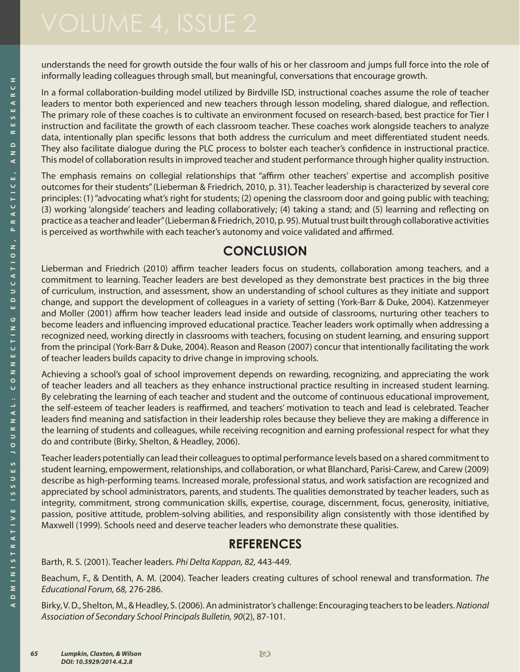understands the need for growth outside the four walls of his or her classroom and jumps full force into the role of informally leading colleagues through small, but meaningful, conversations that encourage growth.

In a formal collaboration-building model utilized by Birdville ISD, instructional coaches assume the role of teacher leaders to mentor both experienced and new teachers through lesson modeling, shared dialogue, and reflection. The primary role of these coaches is to cultivate an environment focused on research-based, best practice for Tier I instruction and facilitate the growth of each classroom teacher. These coaches work alongside teachers to analyze data, intentionally plan specific lessons that both address the curriculum and meet differentiated student needs. They also facilitate dialogue during the PLC process to bolster each teacher's confidence in instructional practice. This model of collaboration results in improved teacher and student performance through higher quality instruction.

The emphasis remains on collegial relationships that "affirm other teachers' expertise and accomplish positive outcomes for their students" (Lieberman & Friedrich, 2010, p. 31). Teacher leadership is characterized by several core principles: (1) "advocating what's right for students; (2) opening the classroom door and going public with teaching; (3) working 'alongside' teachers and leading collaboratively; (4) taking a stand; and (5) learning and reflecting on practice as a teacher and leader" (Lieberman & Friedrich, 2010, p. 95). Mutual trust built through collaborative activities is perceived as worthwhile with each teacher's autonomy and voice validated and affirmed.

#### **CONCLUSION**

Lieberman and Friedrich (2010) affirm teacher leaders focus on students, collaboration among teachers, and a commitment to learning. Teacher leaders are best developed as they demonstrate best practices in the big three of curriculum, instruction, and assessment, show an understanding of school cultures as they initiate and support change, and support the development of colleagues in a variety of setting (York-Barr & Duke, 2004). Katzenmeyer and Moller (2001) affirm how teacher leaders lead inside and outside of classrooms, nurturing other teachers to become leaders and influencing improved educational practice. Teacher leaders work optimally when addressing a recognized need, working directly in classrooms with teachers, focusing on student learning, and ensuring support from the principal (York-Barr & Duke, 2004). Reason and Reason (2007) concur that intentionally facilitating the work of teacher leaders builds capacity to drive change in improving schools.

Achieving a school's goal of school improvement depends on rewarding, recognizing, and appreciating the work of teacher leaders and all teachers as they enhance instructional practice resulting in increased student learning. By celebrating the learning of each teacher and student and the outcome of continuous educational improvement, the self-esteem of teacher leaders is reaffirmed, and teachers' motivation to teach and lead is celebrated. Teacher leaders find meaning and satisfaction in their leadership roles because they believe they are making a difference in the learning of students and colleagues, while receiving recognition and earning professional respect for what they do and contribute (Birky, Shelton, & Headley, 2006).

Teacher leaders potentially can lead their colleagues to optimal performance levels based on a shared commitment to student learning, empowerment, relationships, and collaboration, or what Blanchard, Parisi-Carew, and Carew (2009) describe as high-performing teams. Increased morale, professional status, and work satisfaction are recognized and appreciated by school administrators, parents, and students. The qualities demonstrated by teacher leaders, such as integrity, commitment, strong communication skills, expertise, courage, discernment, focus, generosity, initiative, passion, positive attitude, problem-solving abilities, and responsibility align consistently with those identified by Maxwell (1999). Schools need and deserve teacher leaders who demonstrate these qualities.

#### **REFERENCES**

Barth, R. S. (2001). Teacher leaders. *Phi Delta Kappan, 82,* 443-449.

Beachum, F., & Dentith, A. M. (2004). Teacher leaders creating cultures of school renewal and transformation. *The Educational Forum, 68,* 276-286.

Birky, V. D., Shelton, M., & Headley, S. (2006). An administrator's challenge: Encouraging teachers to be leaders. *National Association of Secondary School Principals Bulletin, 90*(2), 87-101.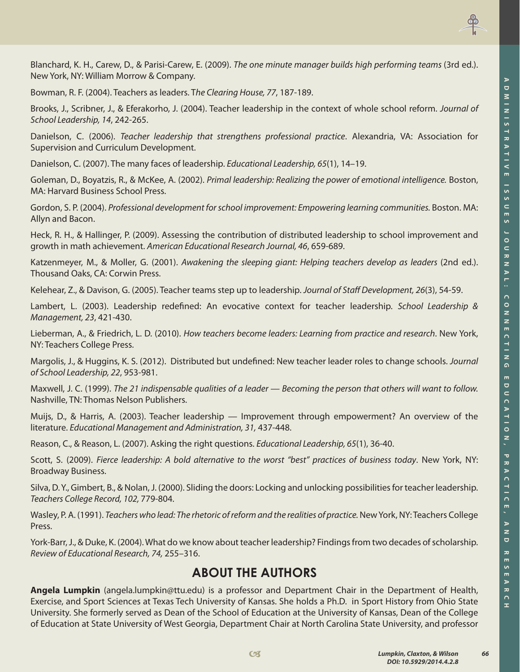

Blanchard, K. H., Carew, D., & Parisi-Carew, E. (2009). *The one minute manager builds high performing teams* (3rd ed.). New York, NY: William Morrow & Company.

Bowman, R. F. (2004). Teachers as leaders. T*he Clearing House, 77*, 187-189.

Brooks, J., Scribner, J., & Eferakorho, J. (2004). Teacher leadership in the context of whole school reform. *Journal of School Leadership, 14*, 242-265.

Danielson, C. (2006). *Teacher leadership that strengthens professional practice*. Alexandria, VA: Association for Supervision and Curriculum Development.

Danielson, C. (2007). The many faces of leadership. *Educational Leadership, 65*(1), 14–19.

Goleman, D., Boyatzis, R., & McKee, A. (2002). *Primal leadership: Realizing the power of emotional intelligence.* Boston, MA: Harvard Business School Press.

Gordon, S. P. (2004). *Professional development for school improvement: Empowering learning communities.* Boston. MA: Allyn and Bacon.

Heck, R. H., & Hallinger, P. (2009). Assessing the contribution of distributed leadership to school improvement and growth in math achievement. *American Educational Research Journal, 46*, 659-689.

Katzenmeyer, M., & Moller, G. (2001). *Awakening the sleeping giant: Helping teachers develop as leaders* (2nd ed.). Thousand Oaks, CA: Corwin Press.

Kelehear, Z., & Davison, G. (2005). Teacher teams step up to leadership. *Journal of Staff Development, 26*(3), 54-59.

Lambert, L. (2003). Leadership redefined: An evocative context for teacher leadership. *School Leadership & Management, 23*, 421-430.

Lieberman, A., & Friedrich, L. D. (2010). *How teachers become leaders: Learning from practice and research*. New York, NY: Teachers College Press.

Margolis, J., & Huggins, K. S. (2012). Distributed but undefined: New teacher leader roles to change schools. *Journal of School Leadership, 22*, 953-981.

Maxwell, J. C. (1999). *The 21 indispensable qualities of a leader — Becoming the person that others will want to follow.* Nashville, TN: Thomas Nelson Publishers.

Muijs, D., & Harris, A. (2003). Teacher leadership — Improvement through empowerment? An overview of the literature. *Educational Management and Administration, 31,* 437-448.

Reason, C., & Reason, L. (2007). Asking the right questions. *Educational Leadership, 65*(1), 36-40.

Scott, S. (2009). *Fierce leadership: A bold alternative to the worst "best" practices of business today*. New York, NY: Broadway Business.

Silva, D. Y., Gimbert, B., & Nolan, J. (2000). Sliding the doors: Locking and unlocking possibilities for teacher leadership. *Teachers College Record, 102,* 779-804.

Wasley, P. A. (1991). *Teachers who lead: The rhetoric of reform and the realities of practice*. New York, NY: Teachers College Press.

York-Barr, J., & Duke, K. (2004). What do we know about teacher leadership? Findings from two decades of scholarship. *Review of Educational Research, 74,* 255–316.

#### **ABOUT THE AUTHORS**

**Angela Lumpkin** (angela.lumpkin@ttu.edu) is a professor and Department Chair in the Department of Health, Exercise, and Sport Sciences at Texas Tech University of Kansas. She holds a Ph.D. in Sport History from Ohio State University. She formerly served as Dean of the School of Education at the University of Kansas, Dean of the College of Education at State University of West Georgia, Department Chair at North Carolina State University, and professor